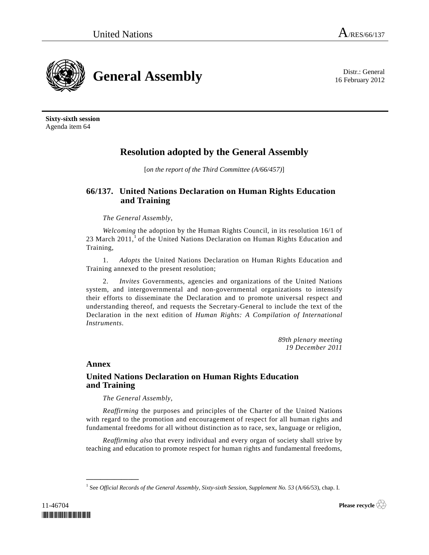

16 February 2012

**Sixty-sixth session**  Agenda item 64

# **Resolution adopted by the General Assembly**

[*on the report of the Third Committee (A/66/457)*]

## **66/137. United Nations Declaration on Human Rights Education and Training**

## *The General Assembly*,

*Welcoming* the adoption by the Human Rights Council, in its resolution 16/1 of 23 March  $2011$ , of the United Nations Declaration on Human Rights Education and Training,

 1. *Adopts* the United Nations Declaration on Human Rights Education and Training annexed to the present resolution;

 2. *Invites* Governments, agencies and organizations of the United Nations system, and intergovernmental and non-governmental organizations to intensify their efforts to disseminate the Declaration and to promote universal respect and understanding thereof, and requests the Secretary-General to include the text of the Declaration in the next edition of *Human Rights: A Compilation of International Instruments*.

> *89th plenary meeting 19 December 2011*

## **Annex**

**\_\_\_\_\_\_\_\_\_\_\_\_\_\_\_** 

## **United Nations Declaration on Human Rights Education and Training**

## *The General Assembly*,

*Reaffirming* the purposes and principles of the Charter of the United Nations with regard to the promotion and encouragement of respect for all human rights and fundamental freedoms for all without distinction as to race, sex, language or religion,

*Reaffirming also* that every individual and every organ of society shall strive by teaching and education to promote respect for human rights and fundamental freedoms,

<sup>&</sup>lt;sup>1</sup> See *Official Records of the General Assembly, Sixty-sixth Session, Supplement No. 53 (A/66/53), chap. I.*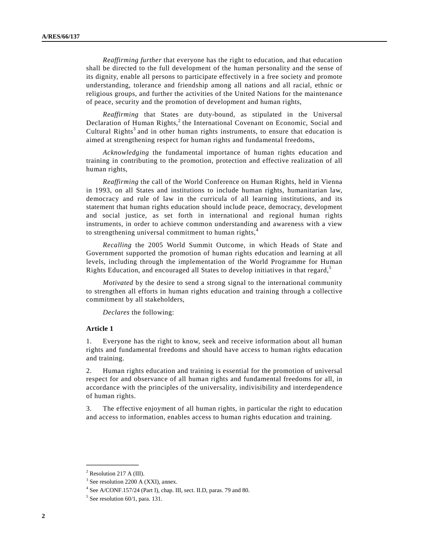*Reaffirming further* that everyone has the right to education, and that education shall be directed to the full development of the human personality and the sense of its dignity, enable all persons to participate effectively in a free society and promote understanding, tolerance and friendship among all nations and all racial, ethnic or religious groups, and further the activities of the United Nations for the maintenance of peace, security and the promotion of development and human rights,

*Reaffirming* that States are duty-bound, as stipulated in the Universal Declaration of Human Rights,<sup>2</sup> the International Covenant on Economic, Social and Cultural Rights<sup>3</sup> and in other human rights instruments, to ensure that education is aimed at strengthening respect for human rights and fundamental freedoms,

*Acknowledging* the fundamental importance of human rights education and training in contributing to the promotion, protection and effective realization of all human rights,

*Reaffirming* the call of the World Conference on Human Rights, held in Vienna in 1993, on all States and institutions to include human rights, humanitarian law, democracy and rule of law in the curricula of all learning institutions, and its statement that human rights education should include peace, democracy, development and social justice, as set forth in international and regional human rights instruments, in order to achieve common understanding and awareness with a view to strengthening universal commitment to human rights,<sup>4</sup>

*Recalling* the 2005 World Summit Outcome, in which Heads of State and Government supported the promotion of human rights education and learning at all levels, including through the implementation of the World Programme for Human Rights Education, and encouraged all States to develop initiatives in that regard,<sup>5</sup>

*Motivated* by the desire to send a strong signal to the international community to strengthen all efforts in human rights education and training through a collective commitment by all stakeholders,

*Declares* the following:

#### **Article 1**

1. Everyone has the right to know, seek and receive information about all human rights and fundamental freedoms and should have access to human rights education and training.

2. Human rights education and training is essential for the promotion of universal respect for and observance of all human rights and fundamental freedoms for all, in accordance with the principles of the universality, indivisibility and interdependence of human rights.

3. The effective enjoyment of all human rights, in particular the right to education and access to information, enables access to human rights education and training.

**\_\_\_\_\_\_\_\_\_\_\_\_\_\_\_**   $<sup>2</sup>$  Resolution 217 A (III).</sup>

<sup>3</sup> See resolution 2200 A (XXI), annex.

<sup>4</sup> See A/CONF.157/24 (Part I), chap. III, sect. II.D, paras. 79 and 80.

 $<sup>5</sup>$  See resolution 60/1, para. 131.</sup>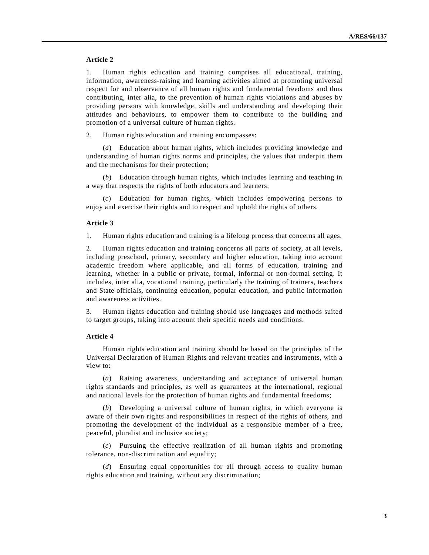#### **Article 2**

1. Human rights education and training comprises all educational, training, information, awareness-raising and learning activities aimed at promoting universal respect for and observance of all human rights and fundamental freedoms and thus contributing, inter alia, to the prevention of human rights violations and abuses by providing persons with knowledge, skills and understanding and developing their attitudes and behaviours, to empower them to contribute to the building and promotion of a universal culture of human rights.

2. Human rights education and training encompasses:

 (*a*) Education about human rights, which includes providing knowledge and understanding of human rights norms and principles, the values that underpin them and the mechanisms for their protection;

 (*b*) Education through human rights, which includes learning and teaching in a way that respects the rights of both educators and learners;

 (*c*) Education for human rights, which includes empowering persons to enjoy and exercise their rights and to respect and uphold the rights of others.

#### **Article 3**

1. Human rights education and training is a lifelong process that concerns all ages.

2. Human rights education and training concerns all parts of society, at all levels, including preschool, primary, secondary and higher education, taking into account academic freedom where applicable, and all forms of education, training and learning, whether in a public or private, formal, informal or non-formal setting. It includes, inter alia, vocational training, particularly the training of trainers, teachers and State officials, continuing education, popular education, and public information and awareness activities.

3. Human rights education and training should use languages and methods suited to target groups, taking into account their specific needs and conditions.

#### **Article 4**

 Human rights education and training should be based on the principles of the Universal Declaration of Human Rights and relevant treaties and instruments, with a view to:

 (*a*) Raising awareness, understanding and acceptance of universal human rights standards and principles, as well as guarantees at the international, regional and national levels for the protection of human rights and fundamental freedoms;

 (*b*) Developing a universal culture of human rights, in which everyone is aware of their own rights and responsibilities in respect of the rights of others, and promoting the development of the individual as a responsible member of a free, peaceful, pluralist and inclusive society;

 (*c*) Pursuing the effective realization of all human rights and promoting tolerance, non-discrimination and equality;

 (*d*) Ensuring equal opportunities for all through access to quality human rights education and training, without any discrimination;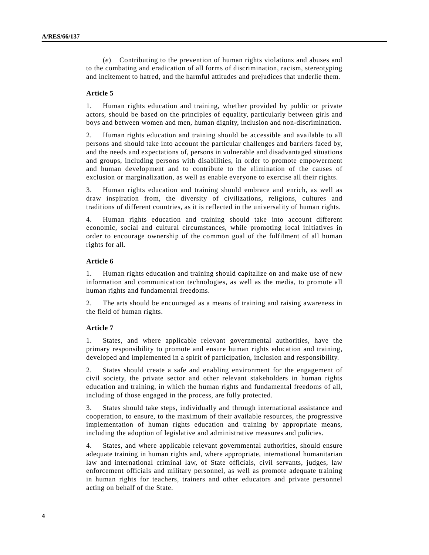(*e*) Contributing to the prevention of human rights violations and abuses and to the combating and eradication of all forms of discrimination, racism, stereotyping and incitement to hatred, and the harmful attitudes and prejudices that underlie them.

### **Article 5**

1. Human rights education and training, whether provided by public or private actors, should be based on the principles of equality, particularly between girls and boys and between women and men, human dignity, inclusion and non-discrimination.

2. Human rights education and training should be accessible and available to all persons and should take into account the particular challenges and barriers faced by, and the needs and expectations of, persons in vulnerable and disadvantaged situations and groups, including persons with disabilities, in order to promote empowerment and human development and to contribute to the elimination of the causes of exclusion or marginalization, as well as enable everyone to exercise all their rights.

3. Human rights education and training should embrace and enrich, as well as draw inspiration from, the diversity of civilizations, religions, cultures and traditions of different countries, as it is reflected in the universality of human rights.

4. Human rights education and training should take into account different economic, social and cultural circumstances, while promoting local initiatives in order to encourage ownership of the common goal of the fulfilment of all human rights for all.

#### **Article 6**

1. Human rights education and training should capitalize on and make use of new information and communication technologies, as well as the media, to promote all human rights and fundamental freedoms.

2. The arts should be encouraged as a means of training and raising awareness in the field of human rights.

## **Article 7**

1. States, and where applicable relevant governmental authorities, have the primary responsibility to promote and ensure human rights education and training, developed and implemented in a spirit of participation, inclusion and responsibility.

2. States should create a safe and enabling environment for the engagement of civil society, the private sector and other relevant stakeholders in human rights education and training, in which the human rights and fundamental freedoms of all, including of those engaged in the process, are fully protected.

3. States should take steps, individually and through international assistance and cooperation, to ensure, to the maximum of their available resources, the progressive implementation of human rights education and training by appropriate means, including the adoption of legislative and administrative measures and policies.

4. States, and where applicable relevant governmental authorities, should ensure adequate training in human rights and, where appropriate, international humanitarian law and international criminal law, of State officials, civil servants, judges, law enforcement officials and military personnel, as well as promote adequate training in human rights for teachers, trainers and other educators and private personnel acting on behalf of the State.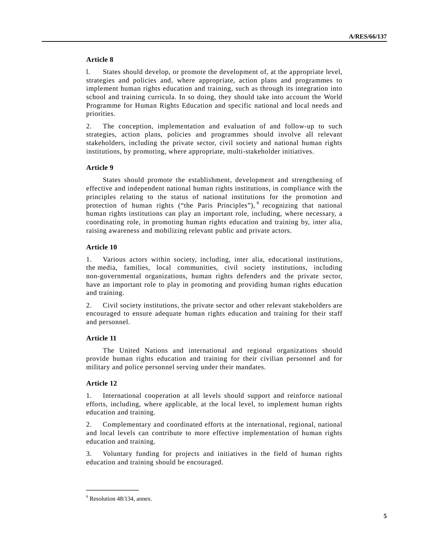### **Article 8**

l. States should develop, or promote the development of, at the appropriate level, strategies and policies and, where appropriate, action plans and programmes to implement human rights education and training, such as through its integration into school and training curricula. In so doing, they should take into account the World Programme for Human Rights Education and specific national and local needs and priorities.

2. The conception, implementation and evaluation of and follow-up to such strategies, action plans, policies and programmes should involve all relevant stakeholders, including the private sector, civil society and national human rights institutions, by promoting, where appropriate, multi-stakeholder initiatives.

### **Article 9**

 States should promote the establishment, development and strengthening of effective and independent national human rights institutions, in compliance with the principles relating to the status of national institutions for the promotion and protection of human rights ("the Paris Principles"), <sup>6</sup> recognizing that national human rights institutions can play an important role, including, where necessary, a coordinating role, in promoting human rights education and training by, inter alia, raising awareness and mobilizing relevant public and private actors.

#### **Article 10**

1. Various actors within society, including, inter alia, educational institutions, the media, families, local communities, civil society institutions, including non-governmental organizations, human rights defenders and the private sector, have an important role to play in promoting and providing human rights education and training.

2. Civil society institutions, the private sector and other relevant stakeholders are encouraged to ensure adequate human rights education and training for their staff and personnel.

#### **Article 11**

 The United Nations and international and regional organizations should provide human rights education and training for their civilian personnel and for military and police personnel serving under their mandates.

#### **Article 12**

1. International cooperation at all levels should support and reinforce national efforts, including, where applicable, at the local level, to implement human rights education and training.

2. Complementary and coordinated efforts at the international, regional, national and local levels can contribute to more effective implementation of human rights education and training.

3. Voluntary funding for projects and initiatives in the field of human rights education and training should be encouraged.

**\_\_\_\_\_\_\_\_\_\_\_\_\_\_\_** 

<sup>6</sup> Resolution 48/134, annex.